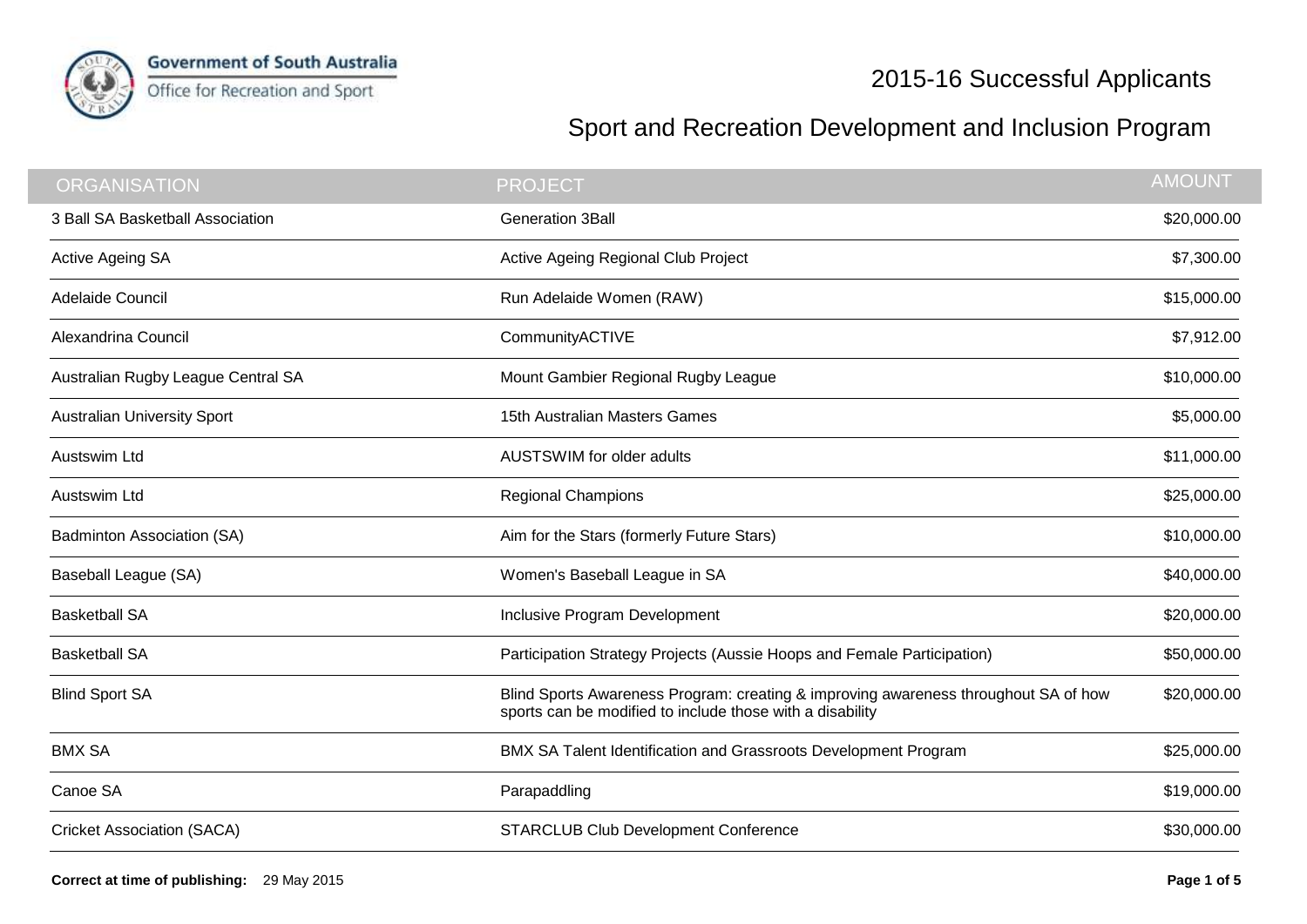

## Sport and Recreation Development and Inclusion Program

| <b>ORGANISATION</b>                | <b>PROJECT</b>                                                                                                                                   | <b>AMOUNT</b> |
|------------------------------------|--------------------------------------------------------------------------------------------------------------------------------------------------|---------------|
| 3 Ball SA Basketball Association   | <b>Generation 3Ball</b>                                                                                                                          | \$20,000.00   |
| Active Ageing SA                   | Active Ageing Regional Club Project                                                                                                              | \$7,300.00    |
| Adelaide Council                   | Run Adelaide Women (RAW)                                                                                                                         | \$15,000.00   |
| Alexandrina Council                | CommunityACTIVE                                                                                                                                  | \$7,912.00    |
| Australian Rugby League Central SA | Mount Gambier Regional Rugby League                                                                                                              | \$10,000.00   |
| <b>Australian University Sport</b> | 15th Australian Masters Games                                                                                                                    | \$5,000.00    |
| Austswim Ltd                       | AUSTSWIM for older adults                                                                                                                        | \$11,000.00   |
| Austswim Ltd                       | <b>Regional Champions</b>                                                                                                                        | \$25,000.00   |
| Badminton Association (SA)         | Aim for the Stars (formerly Future Stars)                                                                                                        | \$10,000.00   |
| Baseball League (SA)               | Women's Baseball League in SA                                                                                                                    | \$40,000.00   |
| <b>Basketball SA</b>               | Inclusive Program Development                                                                                                                    | \$20,000.00   |
| <b>Basketball SA</b>               | Participation Strategy Projects (Aussie Hoops and Female Participation)                                                                          | \$50,000.00   |
| <b>Blind Sport SA</b>              | Blind Sports Awareness Program: creating & improving awareness throughout SA of how<br>sports can be modified to include those with a disability | \$20,000.00   |
| <b>BMX SA</b>                      | BMX SA Talent Identification and Grassroots Development Program                                                                                  | \$25,000.00   |
| Canoe SA                           | Parapaddling                                                                                                                                     | \$19,000.00   |
| <b>Cricket Association (SACA)</b>  | <b>STARCLUB Club Development Conference</b>                                                                                                      | \$30,000.00   |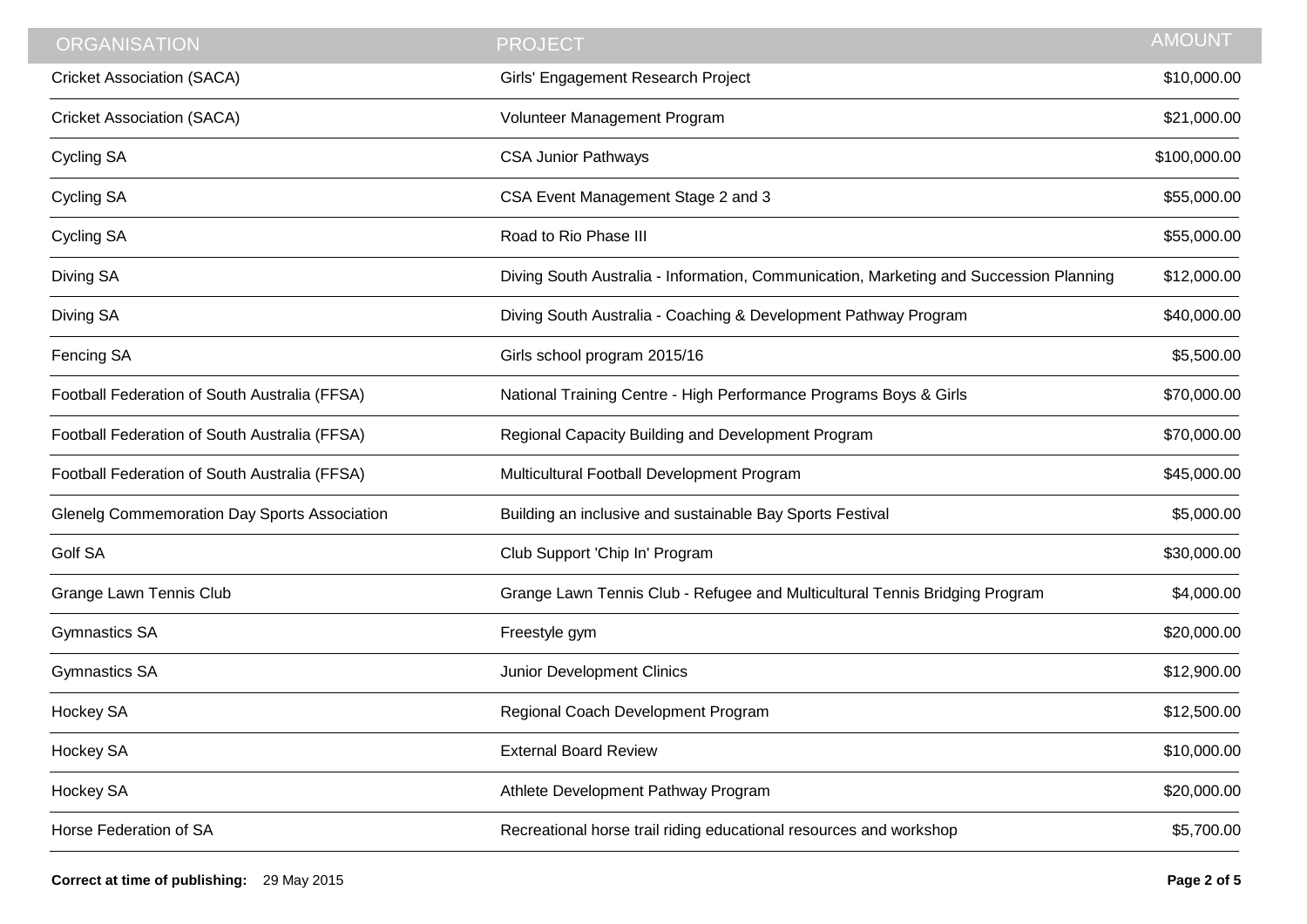| <b>ORGANISATION</b>                           | <b>PROJECT</b>                                                                         | <b>AMOUNT</b> |
|-----------------------------------------------|----------------------------------------------------------------------------------------|---------------|
| <b>Cricket Association (SACA)</b>             | Girls' Engagement Research Project                                                     | \$10,000.00   |
| <b>Cricket Association (SACA)</b>             | Volunteer Management Program                                                           | \$21,000.00   |
| Cycling SA                                    | <b>CSA Junior Pathways</b>                                                             | \$100,000.00  |
| Cycling SA                                    | CSA Event Management Stage 2 and 3                                                     | \$55,000.00   |
| Cycling SA                                    | Road to Rio Phase III                                                                  | \$55,000.00   |
| Diving SA                                     | Diving South Australia - Information, Communication, Marketing and Succession Planning | \$12,000.00   |
| Diving SA                                     | Diving South Australia - Coaching & Development Pathway Program                        | \$40,000.00   |
| Fencing SA                                    | Girls school program 2015/16                                                           | \$5,500.00    |
| Football Federation of South Australia (FFSA) | National Training Centre - High Performance Programs Boys & Girls                      | \$70,000.00   |
| Football Federation of South Australia (FFSA) | Regional Capacity Building and Development Program                                     | \$70,000.00   |
| Football Federation of South Australia (FFSA) | Multicultural Football Development Program                                             | \$45,000.00   |
| Glenelg Commemoration Day Sports Association  | Building an inclusive and sustainable Bay Sports Festival                              | \$5,000.00    |
| Golf SA                                       | Club Support 'Chip In' Program                                                         | \$30,000.00   |
| Grange Lawn Tennis Club                       | Grange Lawn Tennis Club - Refugee and Multicultural Tennis Bridging Program            | \$4,000.00    |
| <b>Gymnastics SA</b>                          | Freestyle gym                                                                          | \$20,000.00   |
| <b>Gymnastics SA</b>                          | Junior Development Clinics                                                             | \$12,900.00   |
| <b>Hockey SA</b>                              | Regional Coach Development Program                                                     | \$12,500.00   |
| Hockey SA                                     | <b>External Board Review</b>                                                           | \$10,000.00   |
| <b>Hockey SA</b>                              | Athlete Development Pathway Program                                                    | \$20,000.00   |
| Horse Federation of SA                        | Recreational horse trail riding educational resources and workshop                     | \$5,700.00    |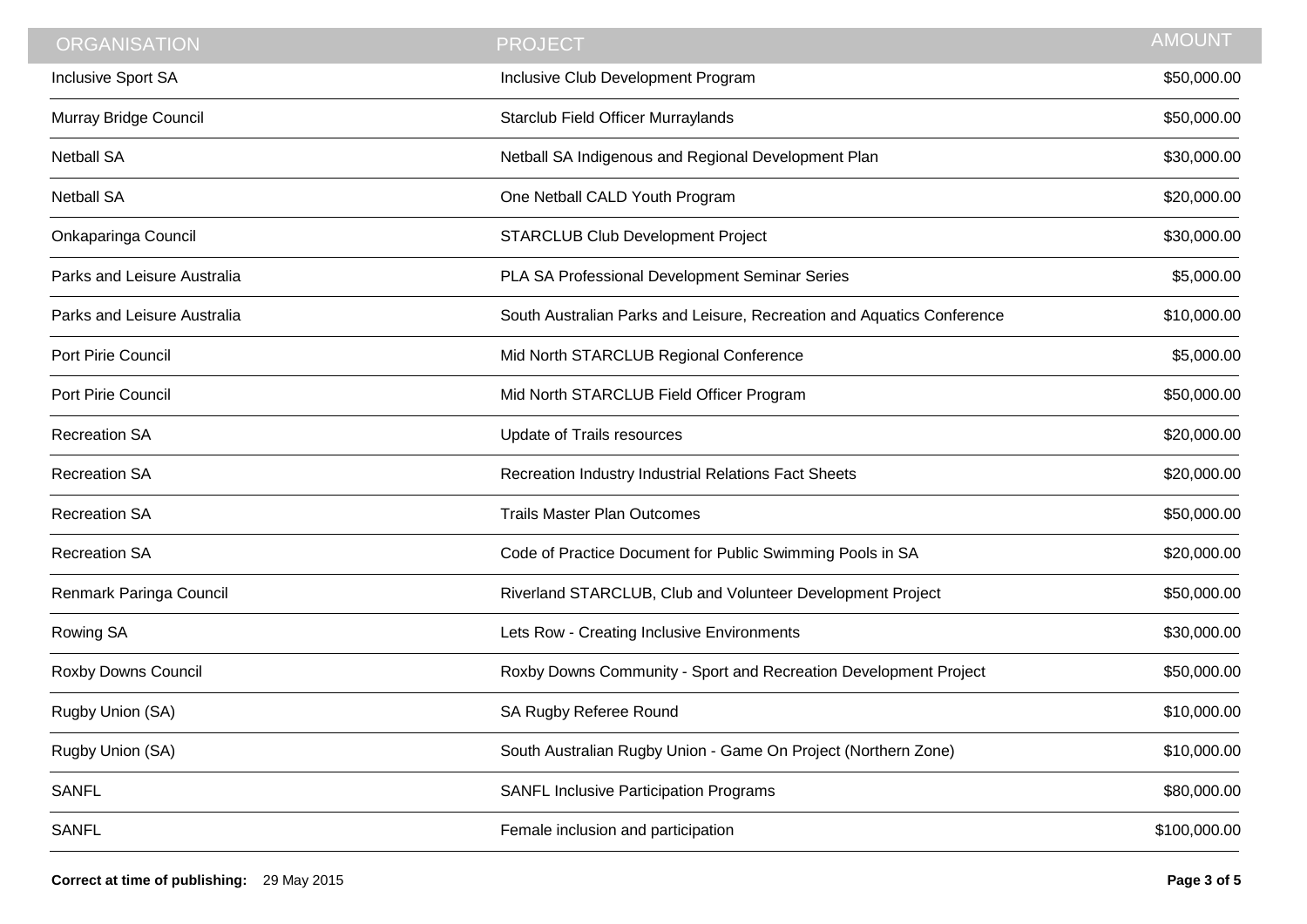| ORGANISATION                | <b>PROJECT</b>                                                         | <b>AMOUNT</b> |
|-----------------------------|------------------------------------------------------------------------|---------------|
| Inclusive Sport SA          | Inclusive Club Development Program                                     | \$50,000.00   |
| Murray Bridge Council       | Starclub Field Officer Murraylands                                     | \$50,000.00   |
| <b>Netball SA</b>           | Netball SA Indigenous and Regional Development Plan                    | \$30,000.00   |
| <b>Netball SA</b>           | One Netball CALD Youth Program                                         | \$20,000.00   |
| Onkaparinga Council         | <b>STARCLUB Club Development Project</b>                               | \$30,000.00   |
| Parks and Leisure Australia | PLA SA Professional Development Seminar Series                         | \$5,000.00    |
| Parks and Leisure Australia | South Australian Parks and Leisure, Recreation and Aquatics Conference | \$10,000.00   |
| Port Pirie Council          | Mid North STARCLUB Regional Conference                                 | \$5,000.00    |
| Port Pirie Council          | Mid North STARCLUB Field Officer Program                               | \$50,000.00   |
| <b>Recreation SA</b>        | Update of Trails resources                                             | \$20,000.00   |
| <b>Recreation SA</b>        | Recreation Industry Industrial Relations Fact Sheets                   | \$20,000.00   |
| <b>Recreation SA</b>        | <b>Trails Master Plan Outcomes</b>                                     | \$50,000.00   |
| <b>Recreation SA</b>        | Code of Practice Document for Public Swimming Pools in SA              | \$20,000.00   |
| Renmark Paringa Council     | Riverland STARCLUB, Club and Volunteer Development Project             | \$50,000.00   |
| Rowing SA                   | Lets Row - Creating Inclusive Environments                             | \$30,000.00   |
| Roxby Downs Council         | Roxby Downs Community - Sport and Recreation Development Project       | \$50,000.00   |
| Rugby Union (SA)            | SA Rugby Referee Round                                                 | \$10,000.00   |
| Rugby Union (SA)            | South Australian Rugby Union - Game On Project (Northern Zone)         | \$10,000.00   |
| <b>SANFL</b>                | <b>SANFL Inclusive Participation Programs</b>                          | \$80,000.00   |
| <b>SANFL</b>                | Female inclusion and participation                                     | \$100,000.00  |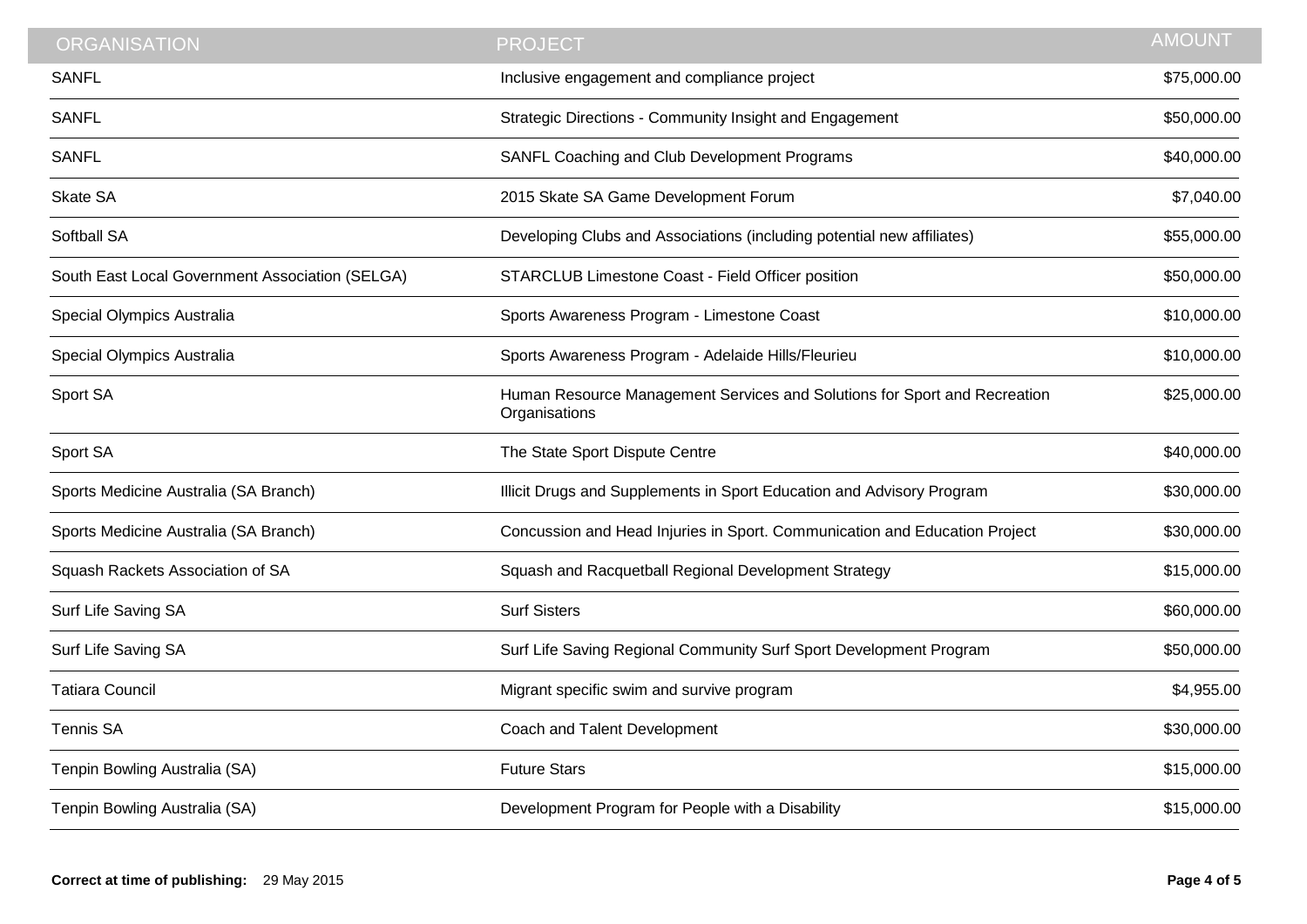| <b>ORGANISATION</b>                             | <b>PROJECT</b>                                                                             | <b>AMOUNT</b> |
|-------------------------------------------------|--------------------------------------------------------------------------------------------|---------------|
| <b>SANFL</b>                                    | Inclusive engagement and compliance project                                                | \$75,000.00   |
| <b>SANFL</b>                                    | Strategic Directions - Community Insight and Engagement                                    | \$50,000.00   |
| <b>SANFL</b>                                    | SANFL Coaching and Club Development Programs                                               | \$40,000.00   |
| Skate SA                                        | 2015 Skate SA Game Development Forum                                                       | \$7,040.00    |
| Softball SA                                     | Developing Clubs and Associations (including potential new affiliates)                     | \$55,000.00   |
| South East Local Government Association (SELGA) | STARCLUB Limestone Coast - Field Officer position                                          | \$50,000.00   |
| Special Olympics Australia                      | Sports Awareness Program - Limestone Coast                                                 | \$10,000.00   |
| Special Olympics Australia                      | Sports Awareness Program - Adelaide Hills/Fleurieu                                         | \$10,000.00   |
| Sport SA                                        | Human Resource Management Services and Solutions for Sport and Recreation<br>Organisations | \$25,000.00   |
| Sport SA                                        | The State Sport Dispute Centre                                                             | \$40,000.00   |
| Sports Medicine Australia (SA Branch)           | Illicit Drugs and Supplements in Sport Education and Advisory Program                      | \$30,000.00   |
| Sports Medicine Australia (SA Branch)           | Concussion and Head Injuries in Sport. Communication and Education Project                 | \$30,000.00   |
| Squash Rackets Association of SA                | Squash and Racquetball Regional Development Strategy                                       | \$15,000.00   |
| Surf Life Saving SA                             | <b>Surf Sisters</b>                                                                        | \$60,000.00   |
| Surf Life Saving SA                             | Surf Life Saving Regional Community Surf Sport Development Program                         | \$50,000.00   |
| <b>Tatiara Council</b>                          | Migrant specific swim and survive program                                                  | \$4,955.00    |
| Tennis SA                                       | Coach and Talent Development                                                               | \$30,000.00   |
| Tenpin Bowling Australia (SA)                   | <b>Future Stars</b>                                                                        | \$15,000.00   |
| Tenpin Bowling Australia (SA)                   | Development Program for People with a Disability                                           | \$15,000.00   |